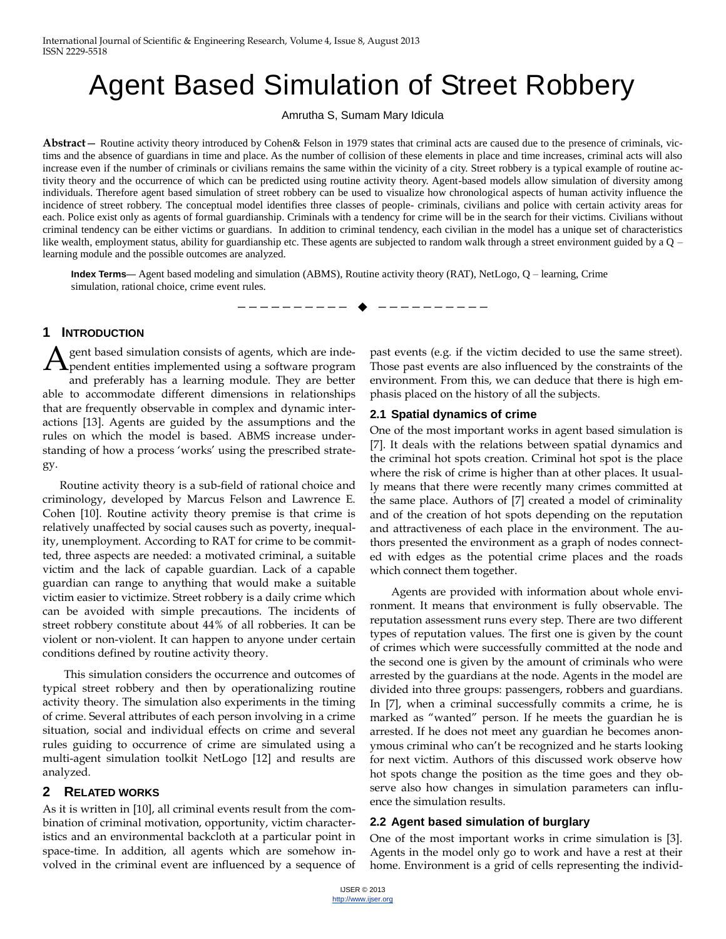# Agent Based Simulation of Street Robbery

Amrutha S, Sumam Mary Idicula

**Abstract**— Routine activity theory introduced by Cohen& Felson in 1979 states that criminal acts are caused due to the presence of criminals, victims and the absence of guardians in time and place. As the number of collision of these elements in place and time increases, criminal acts will also increase even if the number of criminals or civilians remains the same within the vicinity of a city. Street robbery is a typical example of routine activity theory and the occurrence of which can be predicted using routine activity theory. Agent-based models allow simulation of diversity among individuals. Therefore agent based simulation of street robbery can be used to visualize how chronological aspects of human activity influence the incidence of street robbery. The conceptual model identifies three classes of people- criminals, civilians and police with certain activity areas for each. Police exist only as agents of formal guardianship. Criminals with a tendency for crime will be in the search for their victims. Civilians without criminal tendency can be either victims or guardians. In addition to criminal tendency, each civilian in the model has a unique set of characteristics like wealth, employment status, ability for guardianship etc. These agents are subjected to random walk through a street environment guided by a Q – learning module and the possible outcomes are analyzed.

—————————— ——————————

**Index Terms**— Agent based modeling and simulation (ABMS), Routine activity theory (RAT), NetLogo, Q – learning, Crime simulation, rational choice, crime event rules.

#### **1 INTRODUCTION**

gent based simulation consists of agents, which are inde-A gent based simulation consists of agents, which are inde-<br>pendent entities implemented using a software program and preferably has a learning module. They are better able to accommodate different dimensions in relationships that are frequently observable in complex and dynamic interactions [13]. Agents are guided by the assumptions and the rules on which the model is based. ABMS increase understanding of how a process 'works' using the prescribed strategy.

 Routine activity theory is a sub-field of rational choice and criminology, developed by Marcus Felson and Lawrence E. Cohen [10]. Routine activity theory premise is that crime is relatively unaffected by social causes such as poverty, inequality, unemployment. According to RAT for crime to be committed, three aspects are needed: a motivated criminal, a suitable victim and the lack of capable guardian. Lack of a capable guardian can range to anything that would make a suitable victim easier to victimize. Street robbery is a daily crime which can be avoided with simple precautions. The incidents of street robbery constitute about 44% of all robberies. It can be violent or non-violent. It can happen to anyone under certain conditions defined by routine activity theory.

This simulation considers the occurrence and outcomes of typical street robbery and then by operationalizing routine activity theory. The simulation also experiments in the timing of crime. Several attributes of each person involving in a crime situation, social and individual effects on crime and several rules guiding to occurrence of crime are simulated using a multi-agent simulation toolkit NetLogo [12] and results are analyzed.

# **2 RELATED WORKS**

As it is written in [10], all criminal events result from the combination of criminal motivation, opportunity, victim characteristics and an environmental backcloth at a particular point in space-time. In addition, all agents which are somehow involved in the criminal event are influenced by a sequence of past events (e.g. if the victim decided to use the same street). Those past events are also influenced by the constraints of the environment. From this, we can deduce that there is high emphasis placed on the history of all the subjects.

#### **2.1 Spatial dynamics of crime**

One of the most important works in agent based simulation is [7]. It deals with the relations between spatial dynamics and the criminal hot spots creation. Criminal hot spot is the place where the risk of crime is higher than at other places. It usually means that there were recently many crimes committed at the same place. Authors of [7] created a model of criminality and of the creation of hot spots depending on the reputation and attractiveness of each place in the environment. The authors presented the environment as a graph of nodes connected with edges as the potential crime places and the roads which connect them together.

Agents are provided with information about whole environment. It means that environment is fully observable. The reputation assessment runs every step. There are two different types of reputation values. The first one is given by the count of crimes which were successfully committed at the node and the second one is given by the amount of criminals who were arrested by the guardians at the node. Agents in the model are divided into three groups: passengers, robbers and guardians. In [7], when a criminal successfully commits a crime, he is marked as "wanted" person. If he meets the guardian he is arrested. If he does not meet any guardian he becomes anonymous criminal who can't be recognized and he starts looking for next victim. Authors of this discussed work observe how hot spots change the position as the time goes and they observe also how changes in simulation parameters can influence the simulation results.

#### **2.2 Agent based simulation of burglary**

One of the most important works in crime simulation is [3]. Agents in the model only go to work and have a rest at their home. Environment is a grid of cells representing the individ-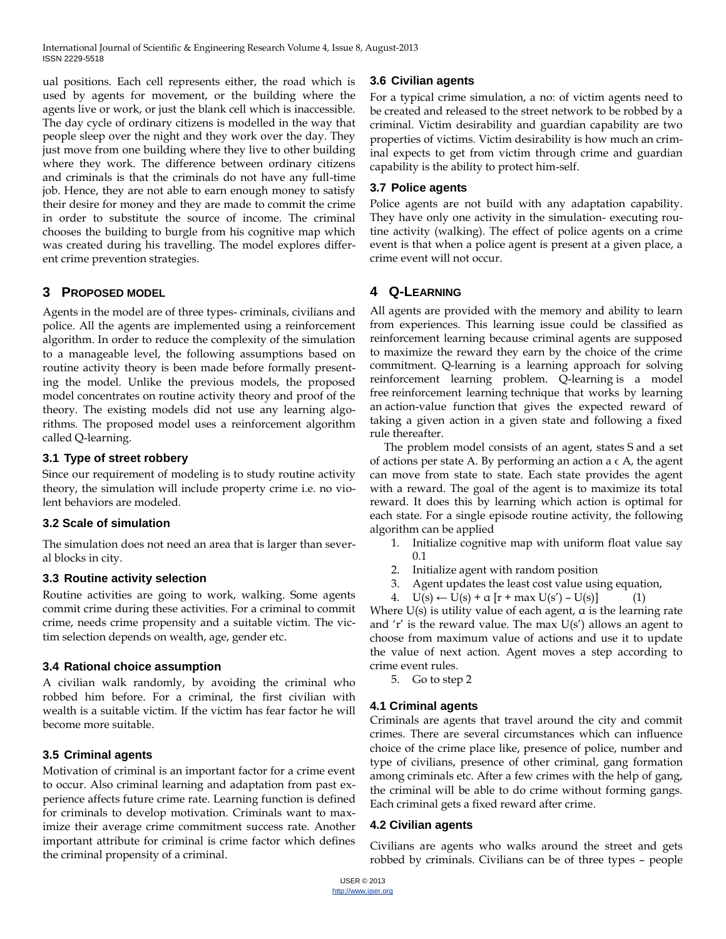ual positions. Each cell represents either, the road which is used by agents for movement, or the building where the agents live or work, or just the blank cell which is inaccessible. The day cycle of ordinary citizens is modelled in the way that people sleep over the night and they work over the day. They just move from one building where they live to other building where they work. The difference between ordinary citizens and criminals is that the criminals do not have any full-time job. Hence, they are not able to earn enough money to satisfy their desire for money and they are made to commit the crime in order to substitute the source of income. The criminal chooses the building to burgle from his cognitive map which was created during his travelling. The model explores different crime prevention strategies.

# **3 PROPOSED MODEL**

Agents in the model are of three types- criminals, civilians and police. All the agents are implemented using a reinforcement algorithm. In order to reduce the complexity of the simulation to a manageable level, the following assumptions based on routine activity theory is been made before formally presenting the model. Unlike the previous models, the proposed model concentrates on routine activity theory and proof of the theory. The existing models did not use any learning algorithms. The proposed model uses a reinforcement algorithm called Q-learning.

#### **3.1 Type of street robbery**

Since our requirement of modeling is to study routine activity theory, the simulation will include property crime i.e. no violent behaviors are modeled.

#### **3.2 Scale of simulation**

The simulation does not need an area that is larger than several blocks in city.

#### **3.3 Routine activity selection**

Routine activities are going to work, walking. Some agents commit crime during these activities. For a criminal to commit crime, needs crime propensity and a suitable victim. The victim selection depends on wealth, age, gender etc.

# **3.4 Rational choice assumption**

A civilian walk randomly, by avoiding the criminal who robbed him before. For a criminal, the first civilian with wealth is a suitable victim. If the victim has fear factor he will become more suitable.

# **3.5 Criminal agents**

Motivation of criminal is an important factor for a crime event to occur. Also criminal learning and adaptation from past experience affects future crime rate. Learning function is defined for criminals to develop motivation. Criminals want to maximize their average crime commitment success rate. Another important attribute for criminal is crime factor which defines the criminal propensity of a criminal.

# **3.6 Civilian agents**

For a typical crime simulation, a no: of victim agents need to be created and released to the street network to be robbed by a criminal. Victim desirability and guardian capability are two properties of victims. Victim desirability is how much an criminal expects to get from victim through crime and guardian capability is the ability to protect him-self.

#### **3.7 Police agents**

Police agents are not build with any adaptation capability. They have only one activity in the simulation- executing routine activity (walking). The effect of police agents on a crime event is that when a police agent is present at a given place, a crime event will not occur.

# **4 Q-LEARNING**

All agents are provided with the memory and ability to learn from experiences. This learning issue could be classified as reinforcement learning because criminal agents are supposed to maximize the reward they earn by the choice of the crime commitment. Q-learning is a learning approach for solving reinforcement learning problem. Q-learning is a model free reinforcement learning technique that works by learning an action-value function that gives the expected reward of taking a given action in a given state and following a fixed rule thereafter.

 The problem model consists of an agent, states S and a set of actions per state A. By performing an action a  $\epsilon$  A, the agent can move from state to state. Each state provides the agent with a reward. The goal of the agent is to maximize its total reward. It does this by learning which action is optimal for each state. For a single episode routine activity, the following algorithm can be applied

- 1. Initialize cognitive map with uniform float value say 0.1
- 2. Initialize agent with random position
- 3. Agent updates the least cost value using equation,
- 4.  $U(s) \leftarrow U(s) + \alpha [r + \max U(s') U(s)]$  (1)

Where  $U(s)$  is utility value of each agent,  $\alpha$  is the learning rate and 'r' is the reward value. The max  $U(s')$  allows an agent to choose from maximum value of actions and use it to update the value of next action. Agent moves a step according to crime event rules.

5. Go to step 2

# **4.1 Criminal agents**

Criminals are agents that travel around the city and commit crimes. There are several circumstances which can influence choice of the crime place like, presence of police, number and type of civilians, presence of other criminal, gang formation among criminals etc. After a few crimes with the help of gang, the criminal will be able to do crime without forming gangs. Each criminal gets a fixed reward after crime.

# **4.2 Civilian agents**

Civilians are agents who walks around the street and gets robbed by criminals. Civilians can be of three types – people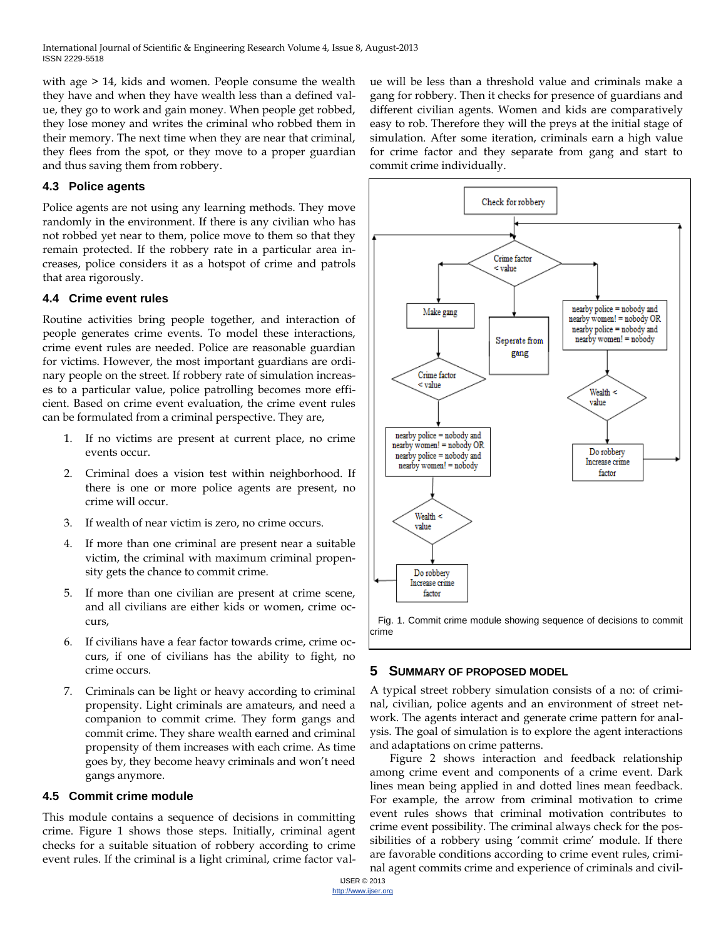with age > 14, kids and women. People consume the wealth they have and when they have wealth less than a defined value, they go to work and gain money. When people get robbed, they lose money and writes the criminal who robbed them in their memory. The next time when they are near that criminal, they flees from the spot, or they move to a proper guardian and thus saving them from robbery.

#### **4.3 Police agents**

Police agents are not using any learning methods. They move randomly in the environment. If there is any civilian who has not robbed yet near to them, police move to them so that they remain protected. If the robbery rate in a particular area increases, police considers it as a hotspot of crime and patrols that area rigorously.

#### **4.4 Crime event rules**

Routine activities bring people together, and interaction of people generates crime events. To model these interactions, crime event rules are needed. Police are reasonable guardian for victims. However, the most important guardians are ordinary people on the street. If robbery rate of simulation increases to a particular value, police patrolling becomes more efficient. Based on crime event evaluation, the crime event rules can be formulated from a criminal perspective. They are,

- 1. If no victims are present at current place, no crime events occur.
- 2. Criminal does a vision test within neighborhood. If there is one or more police agents are present, no crime will occur.
- 3. If wealth of near victim is zero, no crime occurs.
- 4. If more than one criminal are present near a suitable victim, the criminal with maximum criminal propensity gets the chance to commit crime.
- 5. If more than one civilian are present at crime scene, and all civilians are either kids or women, crime occurs,
- 6. If civilians have a fear factor towards crime, crime occurs, if one of civilians has the ability to fight, no crime occurs.
- Criminals can be light or heavy according to criminal propensity. Light criminals are amateurs, and need a companion to commit crime. They form gangs and commit crime. They share wealth earned and criminal propensity of them increases with each crime. As time goes by, they become heavy criminals and won't need gangs anymore.

#### **4.5 Commit crime module**

This module contains a sequence of decisions in committing crime. Figure 1 shows those steps. Initially, criminal agent checks for a suitable situation of robbery according to crime event rules. If the criminal is a light criminal, crime factor value will be less than a threshold value and criminals make a gang for robbery. Then it checks for presence of guardians and different civilian agents. Women and kids are comparatively easy to rob. Therefore they will the preys at the initial stage of simulation. After some iteration, criminals earn a high value for crime factor and they separate from gang and start to commit crime individually.



#### **5 SUMMARY OF PROPOSED MODEL**

A typical street robbery simulation consists of a no: of criminal, civilian, police agents and an environment of street network. The agents interact and generate crime pattern for analysis. The goal of simulation is to explore the agent interactions and adaptations on crime patterns.

 Figure 2 shows interaction and feedback relationship among crime event and components of a crime event. Dark lines mean being applied in and dotted lines mean feedback. For example, the arrow from criminal motivation to crime event rules shows that criminal motivation contributes to crime event possibility. The criminal always check for the possibilities of a robbery using 'commit crime' module. If there are favorable conditions according to crime event rules, criminal agent commits crime and experience of criminals and civil-

IJSER © 2013 http://www.ijser.org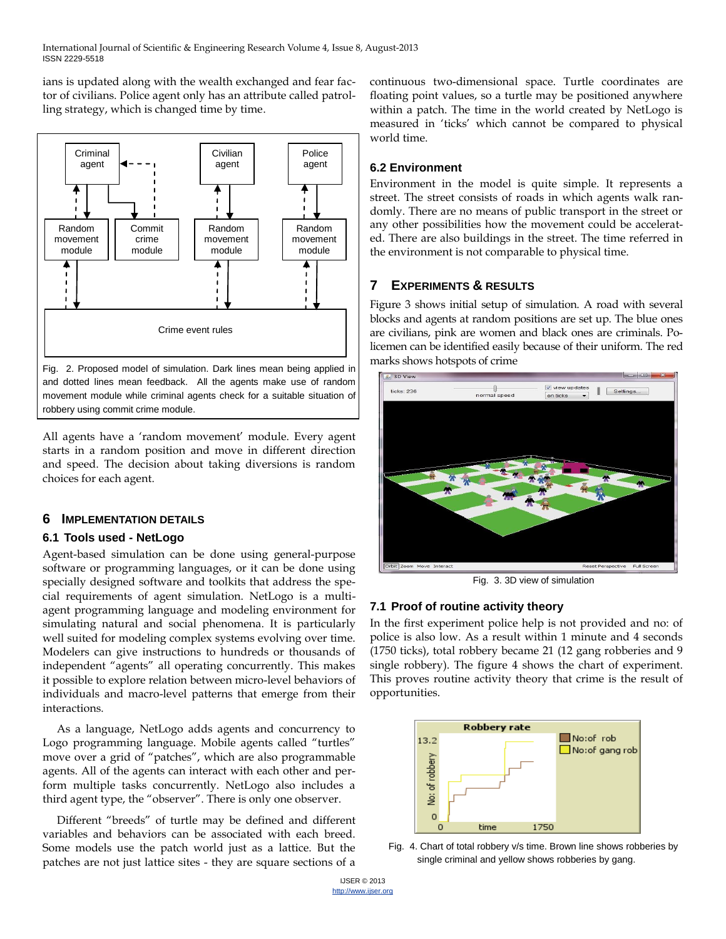ians is updated along with the wealth exchanged and fear factor of civilians. Police agent only has an attribute called patrolling strategy, which is changed time by time.



movement module while criminal agents check for a suitable situation of robbery using commit crime module.

All agents have a 'random movement' module. Every agent starts in a random position and move in different direction and speed. The decision about taking diversions is random choices for each agent.

# **6 IMPLEMENTATION DETAILS**

#### **6.1 Tools used - NetLogo**

Agent-based simulation can be done using general-purpose software or programming languages, or it can be done using specially designed software and toolkits that address the special requirements of agent simulation. NetLogo is a multiagent programming language and modeling environment for simulating natural and social phenomena. It is particularly well suited for modeling complex systems evolving over time. Modelers can give instructions to hundreds or thousands of independent "agents" all operating concurrently. This makes it possible to explore relation between micro-level behaviors of individuals and macro-level patterns that emerge from their interactions.

As a language, NetLogo adds agents and concurrency to Logo programming language. Mobile agents called "turtles" move over a grid of "patches", which are also programmable agents. All of the agents can interact with each other and perform multiple tasks concurrently. NetLogo also includes a third agent type, the "observer". There is only one observer.

Different "breeds" of turtle may be defined and different variables and behaviors can be associated with each breed. Some models use the patch world just as a lattice. But the patches are not just lattice sites - they are square sections of a continuous two-dimensional space. Turtle coordinates are floating point values, so a turtle may be positioned anywhere within a patch. The time in the world created by NetLogo is measured in 'ticks' which cannot be compared to physical world time.

## **6.2 Environment**

Environment in the model is quite simple. It represents a street. The street consists of roads in which agents walk randomly. There are no means of public transport in the street or any other possibilities how the movement could be accelerated. There are also buildings in the street. The time referred in the environment is not comparable to physical time.

# **7 EXPERIMENTS & RESULTS**

Figure 3 shows initial setup of simulation. A road with several blocks and agents at random positions are set up. The blue ones are civilians, pink are women and black ones are criminals. Policemen can be identified easily because of their uniform. The red marks shows hotspots of crime



Fig. 3. 3D view of simulation

# **7.1 Proof of routine activity theory**

In the first experiment police help is not provided and no: of police is also low. As a result within 1 minute and 4 seconds (1750 ticks), total robbery became 21 (12 gang robberies and 9 single robbery). The figure 4 shows the chart of experiment. This proves routine activity theory that crime is the result of opportunities.



Fig. 4. Chart of total robbery v/s time. Brown line shows robberies by single criminal and yellow shows robberies by gang.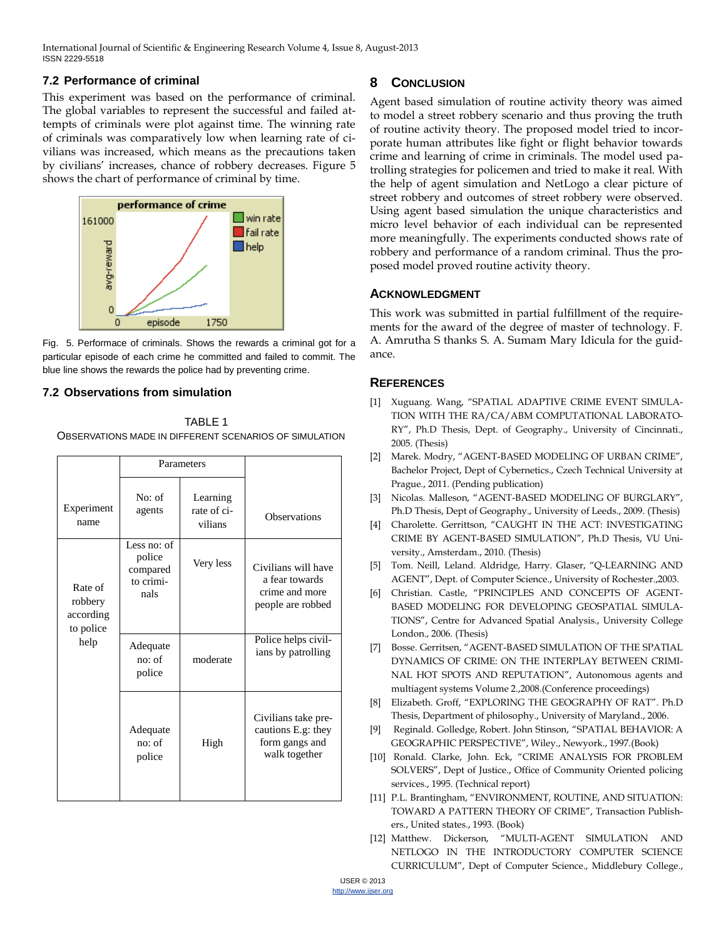# **7.2 Performance of criminal**

This experiment was based on the performance of criminal. The global variables to represent the successful and failed attempts of criminals were plot against time. The winning rate of criminals was comparatively low when learning rate of civilians was increased, which means as the precautions taken by civilians' increases, chance of robbery decreases. Figure 5 shows the chart of performance of criminal by time.



Fig. 5. Performace of criminals. Shows the rewards a criminal got for a particular episode of each crime he committed and failed to commit. The blue line shows the rewards the police had by preventing crime.

#### **7.2 Observations from simulation**

TABLE 1 OBSERVATIONS MADE IN DIFFERENT SCENARIOS OF SIMULATION

|                                                      | Parameters                                             |                                    |                                                                              |
|------------------------------------------------------|--------------------------------------------------------|------------------------------------|------------------------------------------------------------------------------|
| Experiment<br>name                                   | No: of<br>agents                                       | Learning<br>rate of ci-<br>vilians | Observations                                                                 |
| Rate of<br>robbery<br>according<br>to police<br>help | Less no: of<br>police<br>compared<br>to crimi-<br>nals | Very less                          | Civilians will have<br>a fear towards<br>crime and more<br>people are robbed |
|                                                      | Adequate<br>no: of<br>police                           | moderate                           | Police helps civil-<br>ians by patrolling                                    |
|                                                      | Adequate<br>no: of<br>police                           | High                               | Civilians take pre-<br>cautions E.g: they<br>form gangs and<br>walk together |

# **8 CONCLUSION**

Agent based simulation of routine activity theory was aimed to model a street robbery scenario and thus proving the truth of routine activity theory. The proposed model tried to incorporate human attributes like fight or flight behavior towards crime and learning of crime in criminals. The model used patrolling strategies for policemen and tried to make it real. With the help of agent simulation and NetLogo a clear picture of street robbery and outcomes of street robbery were observed. Using agent based simulation the unique characteristics and micro level behavior of each individual can be represented more meaningfully. The experiments conducted shows rate of robbery and performance of a random criminal. Thus the proposed model proved routine activity theory.

#### **ACKNOWLEDGMENT**

This work was submitted in partial fulfillment of the requirements for the award of the degree of master of technology. F. A. Amrutha S thanks S. A. Sumam Mary Idicula for the guidance.

# **REFERENCES**

- [1] Xuguang. Wang, "SPATIAL ADAPTIVE CRIME EVENT SIMULA-TION WITH THE RA/CA/ABM COMPUTATIONAL LABORATO-RY‖, Ph.D Thesis, Dept. of Geography., University of Cincinnati., 2005. (Thesis)
- [2] Marek. Modry, "AGENT-BASED MODELING OF URBAN CRIME", Bachelor Project, Dept of Cybernetics., Czech Technical University at Prague., 2011. (Pending publication)
- [3] Nicolas. Malleson, "AGENT-BASED MODELING OF BURGLARY", Ph.D Thesis, Dept of Geography., University of Leeds., 2009. (Thesis)
- [4] Charolette. Gerrittson, "CAUGHT IN THE ACT: INVESTIGATING CRIME BY AGENT-BASED SIMULATION", Ph.D Thesis, VU University., Amsterdam., 2010. (Thesis)
- [5] Tom. Neill, Leland. Aldridge, Harry. Glaser, "Q-LEARNING AND AGENT", Dept. of Computer Science., University of Rochester., 2003.
- [6] Christian. Castle, "PRINCIPLES AND CONCEPTS OF AGENT-BASED MODELING FOR DEVELOPING GEOSPATIAL SIMULA-TIONS‖, Centre for Advanced Spatial Analysis., University College London., 2006. (Thesis)
- [7] Bosse. Gerritsen, "AGENT-BASED SIMULATION OF THE SPATIAL DYNAMICS OF CRIME: ON THE INTERPLAY BETWEEN CRIMI-NAL HOT SPOTS AND REPUTATION", Autonomous agents and multiagent systems Volume 2.,2008.(Conference proceedings)
- [8] Elizabeth. Groff, "EXPLORING THE GEOGRAPHY OF RAT". Ph.D Thesis, Department of philosophy., University of Maryland., 2006.
- [9] [Reginald. Golledge,](http://www.google.co.in/search?tbo=p&tbm=bks&q=inauthor:%22Reginald+G.+Golledge%22) Robert. [John Stinson,](http://www.google.co.in/search?tbo=p&tbm=bks&q=inauthor:%22Robert+John+Stimson%22) "SPATIAL BEHAVIOR: A GEOGRAPHIC PERSPECTIVE", Wiley., Newyork., 1997.(Book)
- [10] Ronald. Clarke, John. Eck, "CRIME ANALYSIS FOR PROBLEM SOLVERS", Dept of Justice., Office of Community Oriented policing services., 1995. (Technical report)
- [11] P.L. Brantingham, "ENVIRONMENT, ROUTINE, AND SITUATION: TOWARD A PATTERN THEORY OF CRIME", Transaction Publishers., United states., 1993. (Book)
- [12] Matthew. Dickerson, "MULTI-AGENT SIMULATION AND NETLOGO IN THE INTRODUCTORY COMPUTER SCIENCE CURRICULUM‖, Dept of Computer Science., Middlebury College.,